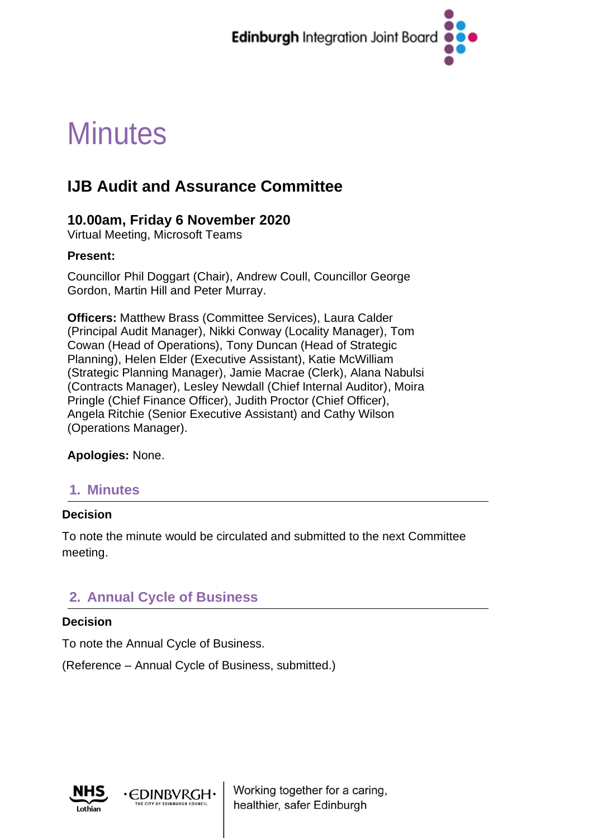

# **Minutes**

## **IJB Audit and Assurance Committee**

## **10.00am, Friday 6 November 2020**

Virtual Meeting, Microsoft Teams

#### **Present:**

Councillor Phil Doggart (Chair), Andrew Coull, Councillor George Gordon, Martin Hill and Peter Murray.

**Officers:** Matthew Brass (Committee Services), Laura Calder (Principal Audit Manager), Nikki Conway (Locality Manager), Tom Cowan (Head of Operations), Tony Duncan (Head of Strategic Planning), Helen Elder (Executive Assistant), Katie McWilliam (Strategic Planning Manager), Jamie Macrae (Clerk), Alana Nabulsi (Contracts Manager), Lesley Newdall (Chief Internal Auditor), Moira Pringle (Chief Finance Officer), Judith Proctor (Chief Officer), Angela Ritchie (Senior Executive Assistant) and Cathy Wilson (Operations Manager).

**Apologies:** None.

## **1. Minutes**

#### **Decision**

To note the minute would be circulated and submitted to the next Committee meeting.

## **2. Annual Cycle of Business**

#### **Decision**

To note the Annual Cycle of Business.

**EDINBVRGH** 

(Reference – Annual Cycle of Business, submitted.)



Working together for a caring, healthier, safer Edinburgh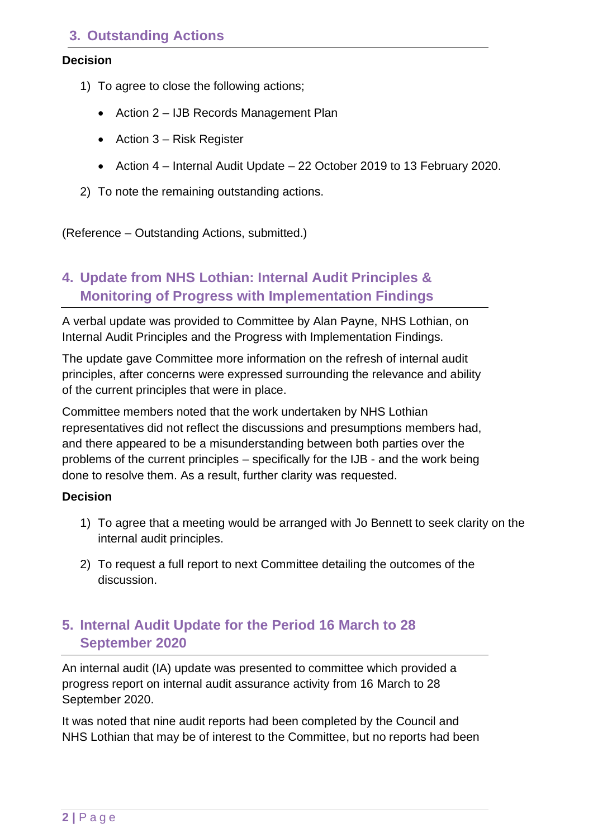## **3. Outstanding Actions**

#### **Decision**

- 1) To agree to close the following actions;
	- Action 2 IJB Records Management Plan
	- Action 3 Risk Register
	- Action 4 Internal Audit Update 22 October 2019 to 13 February 2020.
- 2) To note the remaining outstanding actions.

(Reference – Outstanding Actions, submitted.)

## **4. Update from NHS Lothian: Internal Audit Principles & Monitoring of Progress with Implementation Findings**

A verbal update was provided to Committee by Alan Payne, NHS Lothian, on Internal Audit Principles and the Progress with Implementation Findings.

The update gave Committee more information on the refresh of internal audit principles, after concerns were expressed surrounding the relevance and ability of the current principles that were in place.

Committee members noted that the work undertaken by NHS Lothian representatives did not reflect the discussions and presumptions members had, and there appeared to be a misunderstanding between both parties over the problems of the current principles – specifically for the IJB - and the work being done to resolve them. As a result, further clarity was requested.

#### **Decision**

- 1) To agree that a meeting would be arranged with Jo Bennett to seek clarity on the internal audit principles.
- 2) To request a full report to next Committee detailing the outcomes of the discussion.

## **5. Internal Audit Update for the Period 16 March to 28 September 2020**

An internal audit (IA) update was presented to committee which provided a progress report on internal audit assurance activity from 16 March to 28 September 2020.

It was noted that nine audit reports had been completed by the Council and NHS Lothian that may be of interest to the Committee, but no reports had been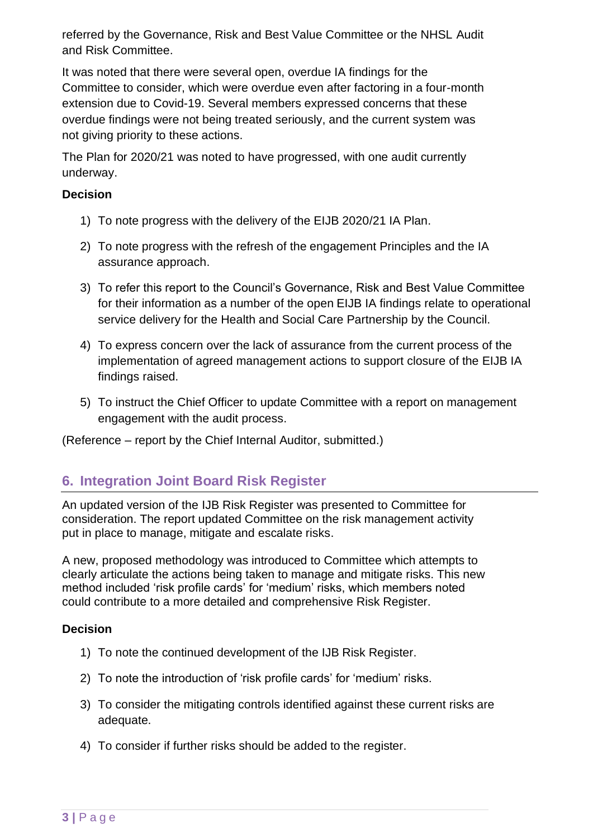referred by the Governance, Risk and Best Value Committee or the NHSL Audit and Risk Committee.

It was noted that there were several open, overdue IA findings for the Committee to consider, which were overdue even after factoring in a four-month extension due to Covid-19. Several members expressed concerns that these overdue findings were not being treated seriously, and the current system was not giving priority to these actions.

The Plan for 2020/21 was noted to have progressed, with one audit currently underway.

#### **Decision**

- 1) To note progress with the delivery of the EIJB 2020/21 IA Plan.
- 2) To note progress with the refresh of the engagement Principles and the IA assurance approach.
- 3) To refer this report to the Council's Governance, Risk and Best Value Committee for their information as a number of the open EIJB IA findings relate to operational service delivery for the Health and Social Care Partnership by the Council.
- 4) To express concern over the lack of assurance from the current process of the implementation of agreed management actions to support closure of the EIJB IA findings raised.
- 5) To instruct the Chief Officer to update Committee with a report on management engagement with the audit process.

(Reference – report by the Chief Internal Auditor, submitted.)

## **6. Integration Joint Board Risk Register**

An updated version of the IJB Risk Register was presented to Committee for consideration. The report updated Committee on the risk management activity put in place to manage, mitigate and escalate risks.

A new, proposed methodology was introduced to Committee which attempts to clearly articulate the actions being taken to manage and mitigate risks. This new method included 'risk profile cards' for 'medium' risks, which members noted could contribute to a more detailed and comprehensive Risk Register.

#### **Decision**

- 1) To note the continued development of the IJB Risk Register.
- 2) To note the introduction of 'risk profile cards' for 'medium' risks.
- 3) To consider the mitigating controls identified against these current risks are adequate.
- 4) To consider if further risks should be added to the register.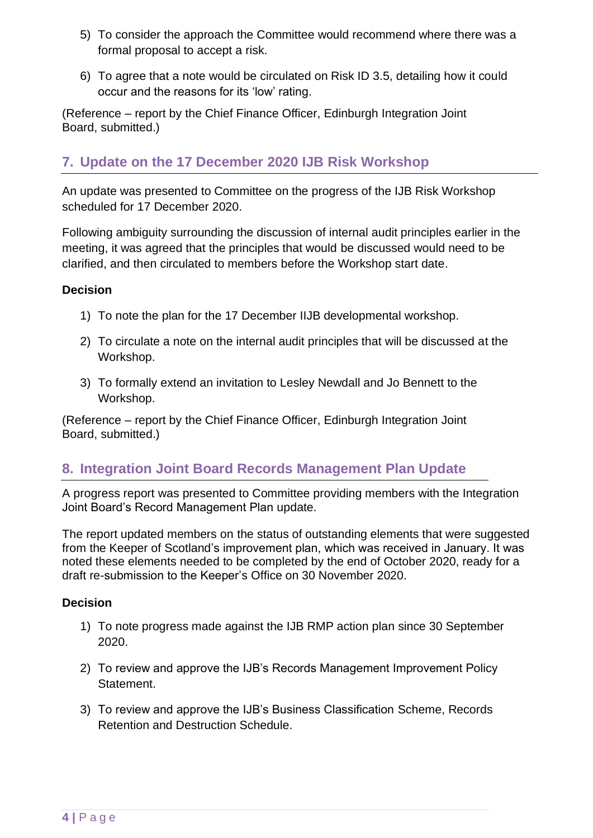- 5) To consider the approach the Committee would recommend where there was a formal proposal to accept a risk.
- 6) To agree that a note would be circulated on Risk ID 3.5, detailing how it could occur and the reasons for its 'low' rating.

(Reference – report by the Chief Finance Officer, Edinburgh Integration Joint Board, submitted.)

## **7. Update on the 17 December 2020 IJB Risk Workshop**

An update was presented to Committee on the progress of the IJB Risk Workshop scheduled for 17 December 2020.

Following ambiguity surrounding the discussion of internal audit principles earlier in the meeting, it was agreed that the principles that would be discussed would need to be clarified, and then circulated to members before the Workshop start date.

#### **Decision**

- 1) To note the plan for the 17 December IIJB developmental workshop.
- 2) To circulate a note on the internal audit principles that will be discussed at the Workshop.
- 3) To formally extend an invitation to Lesley Newdall and Jo Bennett to the Workshop.

(Reference – report by the Chief Finance Officer, Edinburgh Integration Joint Board, submitted.)

### **8. Integration Joint Board Records Management Plan Update**

A progress report was presented to Committee providing members with the Integration Joint Board's Record Management Plan update.

The report updated members on the status of outstanding elements that were suggested from the Keeper of Scotland's improvement plan, which was received in January. It was noted these elements needed to be completed by the end of October 2020, ready for a draft re-submission to the Keeper's Office on 30 November 2020.

#### **Decision**

- 1) To note progress made against the IJB RMP action plan since 30 September 2020.
- 2) To review and approve the IJB's Records Management Improvement Policy Statement.
- 3) To review and approve the IJB's Business Classification Scheme, Records Retention and Destruction Schedule.